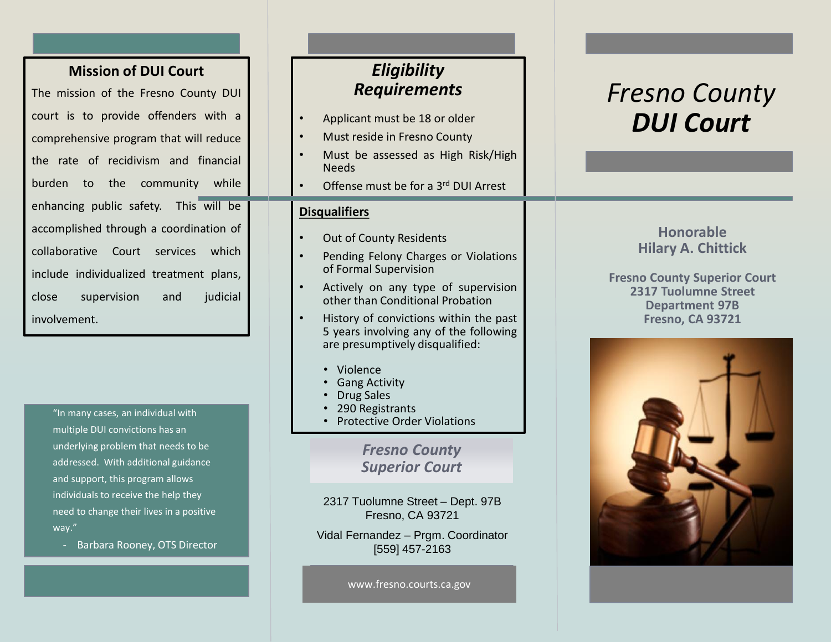## **Mission of DUI Court**

The mission of the Fresno County DUI court is to provide offenders with a comprehensive program that will reduce the rate of recidivism and financial burden to the community while enhancing public safety. This will be accomplished through a coordination of collaborative Court services which include individualized treatment plans, close supervision and judicial involvement.

> "In many cases, an individual with multiple DUI convictions has an underlying problem that needs to be addressed. With additional guidance and support, this program allows individuals to receive the help they need to change their lives in a positive way."

- Barbara Rooney, OTS Director

## *Eligibility Requirements*

- Applicant must be 18 or older
- Must reside in Fresno County
- Must be assessed as High Risk/High Needs
- Offense must be for a 3<sup>rd</sup> DUI Arrest

#### **Disqualifiers**

- Out of County Residents
- Pending Felony Charges or Violations of Formal Supervision
- Actively on any type of supervision other than Conditional Probation
- History of convictions within the past 5 years involving any of the following are presumptively disqualified:
	- Violence
	- Gang Activity
	- Drug Sales
	- 290 Registrants
	- Protective Order Violations

*Fresno County Superior Court*

2317 Tuolumne Street – Dept. 97B Fresno, CA 93721

Vidal Fernandez – Prgm. Coordinator [559] 457-2163

www.fresno.courts.ca.gov

# *Fresno County DUI Court*

#### **Honorable Hilary A. Chittick**

**Fresno County Superior Court 2317 Tuolumne Street Department 97B Fresno, CA 93721**